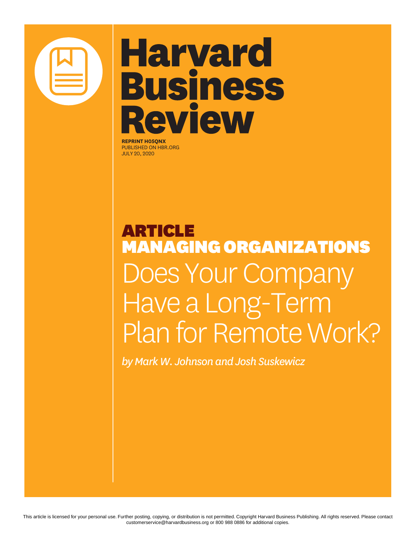

# **Harvard Business** Review

**REPRINT H05QNX** PUBLISHED ON HBR.ORG JULY 20, 2020

# ARTICLE MANAGING ORGANIZATIONS Does Your Compar Have a Long-Term Plan for Remote Work?

*by Mark W. Johnson and Josh Suskewicz*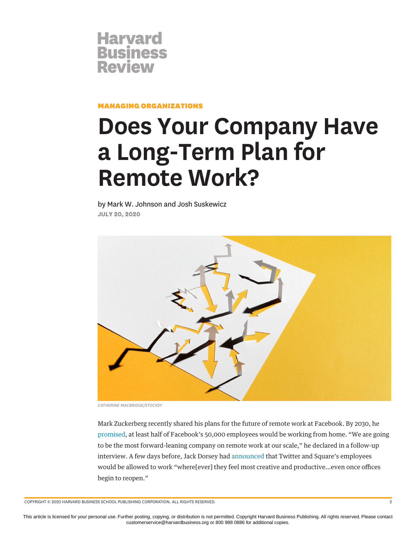

MANAGING ORGANIZATIONS

# **Does Your Company Have a Long-Term Plan for Remote Work?**

by Mark W. Johnson and Josh Suskewicz **JULY 20, 2020**



*CATHERINE MACBRIDGE/STOCKSY*

Mark Zuckerberg recently shared his plans for the future of remote work at Facebook. By 2030, he [promised,](https://www.nbcnews.com/tech/tech-news/mark-zuckerberg-half-facebook-may-work-remotely-2030-n1212081) at least half of Facebook's 50,000 employees would be working from home. "We are going to be the most forward-leaning company on remote work at our scale," he declared in a follow-up interview. A few days before, Jack Dorsey had [announced](https://www.nbcnews.com/tech/tech-news/following-twitter-square-also-let-employees-work-home-going-forward-n1209611) that Twitter and Square's employees would be allowed to work "where[ever] they feel most creative and productive…even once offices begin to reopen."

COPYRIGHT © 2020 HARVARD BUSINESS SCHOOL PUBLISHING CORPORATION. ALL RIGHTS RESERVED. 2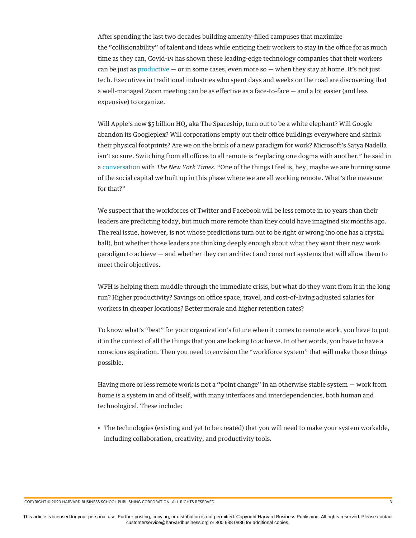After spending the last two decades building amenity-filled campuses that maximize the "collisionability" of talent and ideas while enticing their workers to stay in the office for as much time as they can, Covid-19 has shown these leading-edge technology companies that their workers can be just as [productive](https://www.nytimes.com/2020/06/23/business/working-from-home-productivity.html)  $-$  or in some cases, even more so  $-$  when they stay at home. It's not just tech. Executives in traditional industries who spent days and weeks on the road are discovering that a well-managed Zoom meeting can be as effective as a face-to-face  $-$  and a lot easier (and less expensive) to organize.

Will Apple's new \$5 billion HQ, aka The Spaceship, turn out to be a white elephant? Will Google abandon its Googleplex? Will corporations empty out their office buildings everywhere and shrink their physical footprints? Are we on the brink of a new paradigm for work? Microsoft's Satya Nadella isn't so sure. Switching from all offices to all remote is "replacing one dogma with another," he said in a [conversation](https://www.nytimes.com/2020/05/14/business/dealbook/satya-nadella-microsoft.html) with *The New York Times*. "One of the things I feel is, hey, maybe we are burning some of the social capital we built up in this phase where we are all working remote. What's the measure for that?"

We suspect that the workforces of Twitter and Facebook will be less remote in 10 years than their leaders are predicting today, but much more remote than they could have imagined six months ago. The real issue, however, is not whose predictions turn out to be right or wrong (no one has a crystal ball), but whether those leaders are thinking deeply enough about what they want their new work paradigm to achieve — and whether they can architect and construct systems that will allow them to meet their objectives.

WFH is helping them muddle through the immediate crisis, but what do they want from it in the long run? Higher productivity? Savings on office space, travel, and cost-of-living adjusted salaries for workers in cheaper locations? Better morale and higher retention rates?

To know what's "best" for your organization's future when it comes to remote work, you have to put it in the context of all the things that you are looking to achieve. In other words, you have to have a conscious aspiration. Then you need to envision the "workforce system" that will make those things possible.

Having more or less remote work is not a "point change" in an otherwise stable system — work from home is a system in and of itself, with many interfaces and interdependencies, both human and technological. These include:

• The technologies (existing and yet to be created) that you will need to make your system workable, including collaboration, creativity, and productivity tools.

COPYRIGHT © 2020 HARVARD BUSINESS SCHOOL PUBLISHING CORPORATION. ALL RIGHTS RESERVED. 3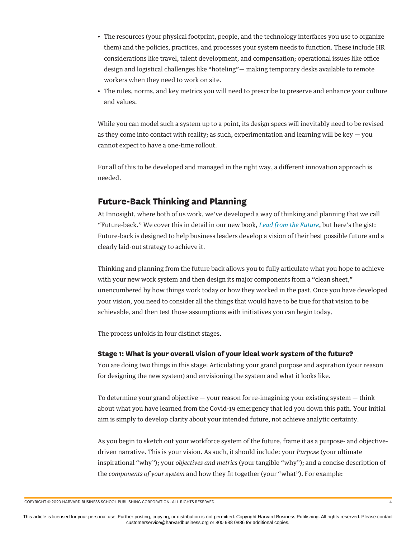- The resources (your physical footprint, people, and the technology interfaces you use to organize them) and the policies, practices, and processes your system needs to function. These include HR considerations like travel, talent development, and compensation; operational issues like office design and logistical challenges like "hoteling"— making temporary desks available to remote workers when they need to work on site.
- The rules, norms, and key metrics you will need to prescribe to preserve and enhance your culture and values.

While you can model such a system up to a point, its design specs will inevitably need to be revised as they come into contact with reality; as such, experimentation and learning will be key  $-$  you cannot expect to have a one-time rollout.

For all of this to be developed and managed in the right way, a different innovation approach is needed.

### **Future-Back Thinking and Planning**

At Innosight, where both of us work, we've developed a way of thinking and planning that we call "Future-back." We cover this in detail in our new book, *[Lead from the Future](https://www.amazon.com/Lead-Future-Visionary-Thinking-Breakthrough/dp/1633697541)*, but here's the gist: Future-back is designed to help business leaders develop a vision of their best possible future and a clearly laid-out strategy to achieve it.

Thinking and planning from the future back allows you to fully articulate what you hope to achieve with your new work system and then design its major components from a "clean sheet," unencumbered by how things work today or how they worked in the past. Once you have developed your vision, you need to consider all the things that would have to be true for that vision to be achievable, and then test those assumptions with initiatives you can begin today.

The process unfolds in four distinct stages.

#### **Stage 1: What is your overall vision of your ideal work system of the future?**

You are doing two things in this stage: Articulating your grand purpose and aspiration (your reason for designing the new system) and envisioning the system and what it looks like.

To determine your grand objective  $-$  your reason for re-imagining your existing system  $-$  think about what you have learned from the Covid-19 emergency that led you down this path. Your initial aim is simply to develop clarity about your intended future, not achieve analytic certainty.

As you begin to sketch out your workforce system of the future, frame it as a purpose- and objectivedriven narrative. This is your vision. As such, it should include: your *Purpose* (your ultimate inspirational "why"); your *objectives and metrics* (your tangible "why"); and a concise description of the *components of your system* and how they fit together (your "what"). For example: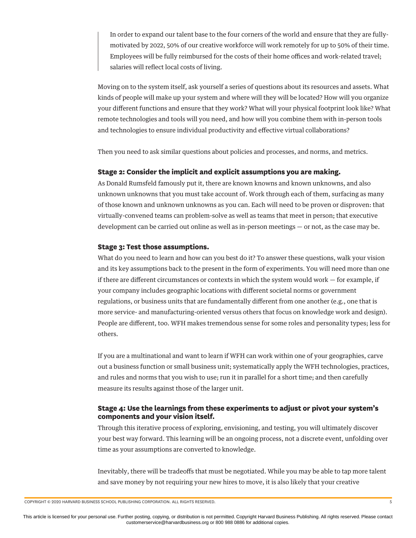In order to expand our talent base to the four corners of the world and ensure that they are fullymotivated by 2022, 50% of our creative workforce will work remotely for up to 50% of their time. Employees will be fully reimbursed for the costs of their home offices and work-related travel; salaries will reflect local costs of living.

Moving on to the system itself, ask yourself a series of questions about its resources and assets. What kinds of people will make up your system and where will they will be located? How will you organize your different functions and ensure that they work? What will your physical footprint look like? What remote technologies and tools will you need, and how will you combine them with in-person tools and technologies to ensure individual productivity and effective virtual collaborations?

Then you need to ask similar questions about policies and processes, and norms, and metrics.

#### **Stage 2: Consider the implicit and explicit assumptions you are making.**

As Donald Rumsfeld famously put it, there are known knowns and known unknowns, and also unknown unknowns that you must take account of. Work through each of them, surfacing as many of those known and unknown unknowns as you can. Each will need to be proven or disproven: that virtually-convened teams can problem-solve as well as teams that meet in person; that executive development can be carried out online as well as in-person meetings — or not, as the case may be.

#### **Stage 3: Test those assumptions.**

What do you need to learn and how can you best do it? To answer these questions, walk your vision and its key assumptions back to the present in the form of experiments. You will need more than one if there are different circumstances or contexts in which the system would work  $-$  for example, if your company includes geographic locations with different societal norms or government regulations, or business units that are fundamentally different from one another (e.g., one that is more service- and manufacturing-oriented versus others that focus on knowledge work and design). People are different, too. WFH makes tremendous sense for some roles and personality types; less for others.

If you are a multinational and want to learn if WFH can work within one of your geographies, carve out a business function or small business unit; systematically apply the WFH technologies, practices, and rules and norms that you wish to use; run it in parallel for a short time; and then carefully measure its results against those of the larger unit.

#### **Stage 4: Use the learnings from these experiments to adjust or pivot your system's components and your vision itself.**

Through this iterative process of exploring, envisioning, and testing, you will ultimately discover your best way forward. This learning will be an ongoing process, not a discrete event, unfolding over time as your assumptions are converted to knowledge.

Inevitably, there will be tradeoffs that must be negotiated. While you may be able to tap more talent and save money by not requiring your new hires to move, it is also likely that your creative

```
COPYRIGHT © 2020 HARVARD BUSINESS SCHOOL PUBLISHING CORPORATION. ALL RIGHTS RESERVED. 5
```